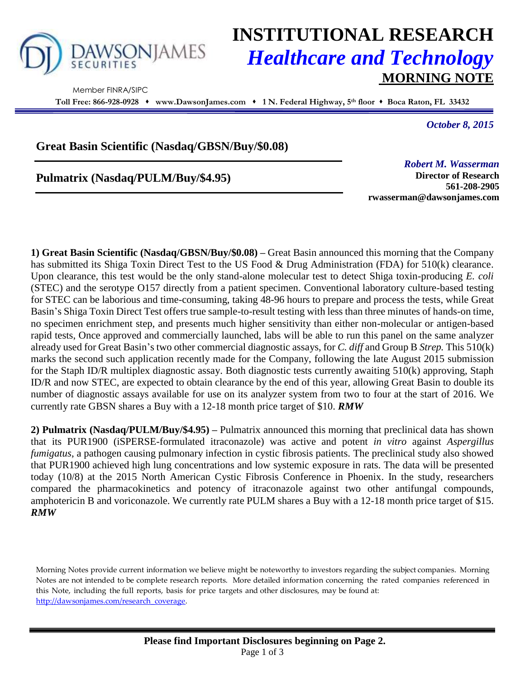

Member FINRA/SIPC

# **INSTITUTIONAL RESEARCH** *Healthcare and Technology* **MORNING NOTE**

**Toll Free: 866-928-0928 www.DawsonJames.com 1 N. Federal Highway, 5 th floor Boca Raton, FL 33432**

*October 8, 2015*

## **Great Basin Scientific (Nasdaq/GBSN/Buy/\$0.08)**

**Pulmatrix (Nasdaq/PULM/Buy/\$4.95)**

*Robert M. Wasserman*

**Director of Research 561-208-2905 rwasserman@dawsonjames.com**

**1) Great Basin Scientific (Nasdaq/GBSN/Buy/\$0.08) –** Great Basin announced this morning that the Company has submitted its Shiga Toxin Direct Test to the US Food & Drug Administration (FDA) for 510(k) clearance. Upon clearance, this test would be the only stand-alone molecular test to detect Shiga toxin-producing *E. coli* (STEC) and the serotype O157 directly from a patient specimen. Conventional laboratory culture-based testing for STEC can be laborious and time-consuming, taking 48-96 hours to prepare and process the tests, while Great Basin's Shiga Toxin Direct Test offers true sample-to-result testing with less than three minutes of hands-on time, no specimen enrichment step, and presents much higher sensitivity than either non-molecular or antigen-based rapid tests, Once approved and commercially launched, labs will be able to run this panel on the same analyzer already used for Great Basin's two other commercial diagnostic assays, for *C. diff* and Group B *Strep.* This 510(k) marks the second such application recently made for the Company, following the late August 2015 submission for the Staph ID/R multiplex diagnostic assay. Both diagnostic tests currently awaiting 510(k) approving, Staph ID/R and now STEC, are expected to obtain clearance by the end of this year, allowing Great Basin to double its number of diagnostic assays available for use on its analyzer system from two to four at the start of 2016. We currently rate GBSN shares a Buy with a 12-18 month price target of \$10. *RMW*

**2) Pulmatrix (Nasdaq/PULM/Buy/\$4.95) –** Pulmatrix announced this morning that preclinical data has shown that its PUR1900 (iSPERSE-formulated itraconazole) was active and potent *in vitro* against *Aspergillus fumigatus*, a pathogen causing pulmonary infection in cystic fibrosis patients. The preclinical study also showed that PUR1900 achieved high lung concentrations and low systemic exposure in rats. The data will be presented today (10/8) at the 2015 North American Cystic Fibrosis Conference in Phoenix. In the study, researchers compared the pharmacokinetics and potency of itraconazole against two other antifungal compounds, amphotericin B and voriconazole. We currently rate PULM shares a Buy with a 12-18 month price target of \$15. *RMW*

Morning Notes provide current information we believe might be noteworthy to investors regarding the subject companies. Morning Notes are not intended to be complete research reports. More detailed information concerning the rated companies referenced in this Note, including the full reports, basis for price targets and other disclosures, may be found at: [http://dawsonjames.com/research\\_coverage.](http://dawsonjames.com/research_coverage)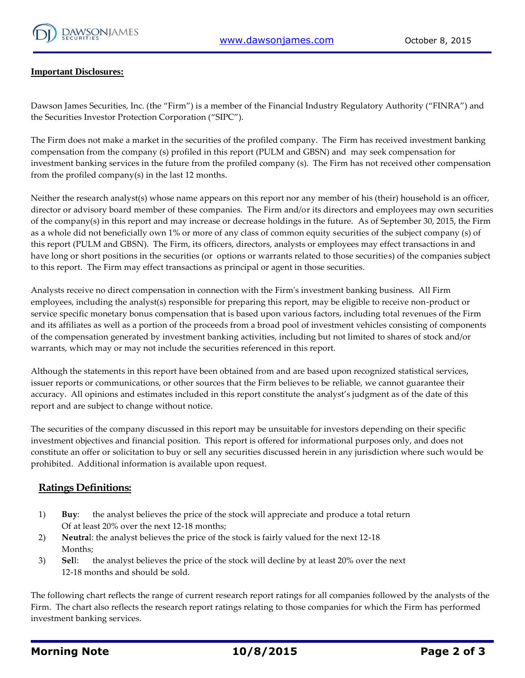

#### **Important Disclosures:**

Dawson James Securities, Inc. (the "Firm") is a member of the Financial Industry Regulatory Authority ("FINRA") and the Securities Investor Protection Corporation ("SIPC").

The Firm does not make a market in the securities of the profiled company. The Firm has received investment banking compensation from the company (s) profiled in this report (PULM and GBSN) and may seek compensation for investment banking services in the future from the profiled company (s). The Firm has not received other compensation from the profiled company(s) in the last 12 months.

Neither the research analyst(s) whose name appears on this report nor any member of his (their) household is an officer, director or advisory board member of these companies. The Firm and/or its directors and employees may own securities of the company(s) in this report and may increase or decrease holdings in the future. As of September 30, 2015, the Firm as a whole did not beneficially own 1% or more of any class of common equity securities of the subject company (s) of this report (PULM and GBSN). The Firm, its officers, directors, analysts or employees may effect transactions in and have long or short positions in the securities (or options or warrants related to those securities) of the companies subject to this report. The Firm may effect transactions as principal or agent in those securities.

Analysts receive no direct compensation in connection with the Firm's investment banking business. All Firm employees, including the analyst(s) responsible for preparing this report, may be eligible to receive non-product or service specific monetary bonus compensation that is based upon various factors, including total revenues of the Firm and its affiliates as well as a portion of the proceeds from a broad pool of investment vehicles consisting of components of the compensation generated by investment banking activities, including but not limited to shares of stock and/or warrants, which may or may not include the securities referenced in this report.

Although the statements in this report have been obtained from and are based upon recognized statistical services, issuer reports or communications, or other sources that the Firm believes to be reliable, we cannot guarantee their accuracy. All opinions and estimates included in this report constitute the analyst's judgment as of the date of this report and are subject to change without notice.

The securities of the company discussed in this report may be unsuitable for investors depending on their specific investment objectives and financial position. This report is offered for informational purposes only, and does not constitute an offer or solicitation to buy or sell any securities discussed herein in any jurisdiction where such would be prohibited. Additional information is available upon request.

#### **Ratings Definitions:**

- 1) **Buy**: the analyst believes the price of the stock will appreciate and produce a total return Of at least 20% over the next 12-18 months;
- 2) **Neutra**l: the analyst believes the price of the stock is fairly valued for the next 12-18 Months;
- 3) **Sel**l: the analyst believes the price of the stock will decline by at least 20% over the next 12-18 months and should be sold.

The following chart reflects the range of current research report ratings for all companies followed by the analysts of the Firm. The chart also reflects the research report ratings relating to those companies for which the Firm has performed investment banking services.